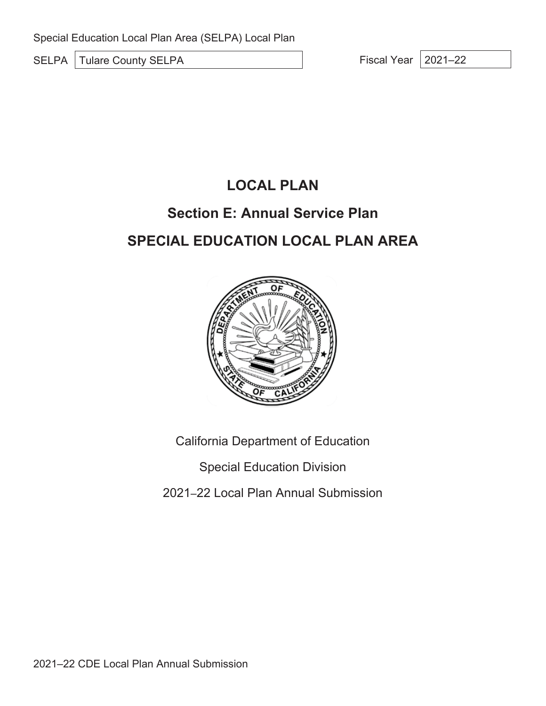SELPA Tulare County SELPA Fiscal Year 2021–22

## **LOCAL PLAN**

### **Section E: Annual Service Plan**

# **SPECIAL EDUCATION LOCAL PLAN AREA**



California Department of Education

Special Education Division

2021–22 Local Plan Annual Submission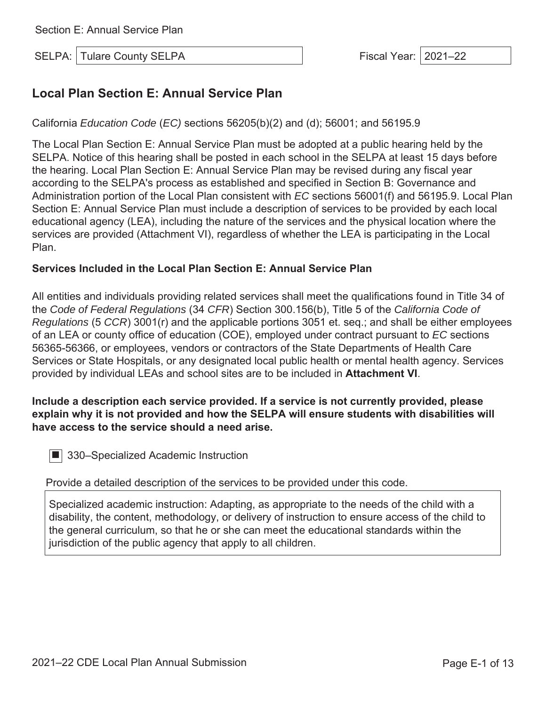SELPA: Tulare County SELPA Fiscal Year: 2021–22

### **Local Plan Section E: Annual Service Plan**

California *Education Code* (*EC)* sections 56205(b)(2) and (d); 56001; and 56195.9

The Local Plan Section E: Annual Service Plan must be adopted at a public hearing held by the SELPA. Notice of this hearing shall be posted in each school in the SELPA at least 15 days before the hearing. Local Plan Section E: Annual Service Plan may be revised during any fiscal year according to the SELPA's process as established and specified in Section B: Governance and Administration portion of the Local Plan consistent with *EC* sections 56001(f) and 56195.9. Local Plan Section E: Annual Service Plan must include a description of services to be provided by each local educational agency (LEA), including the nature of the services and the physical location where the services are provided (Attachment VI), regardless of whether the LEA is participating in the Local Plan.

#### **Services Included in the Local Plan Section E: Annual Service Plan**

All entities and individuals providing related services shall meet the qualifications found in Title 34 of the *Code of Federal Regulations* (34 *CFR*) Section 300.156(b), Title 5 of the *California Code of Regulations* (5 *CCR*) 3001(r) and the applicable portions 3051 et. seq.; and shall be either employees of an LEA or county office of education (COE), employed under contract pursuant to *EC* sections 56365-56366, or employees, vendors or contractors of the State Departments of Health Care Services or State Hospitals, or any designated local public health or mental health agency. Services provided by individual LEAs and school sites are to be included in **Attachment VI**.

#### **Include a description each service provided. If a service is not currently provided, please explain why it is not provided and how the SELPA will ensure students with disabilities will have access to the service should a need arise.**

■ 330–Specialized Academic Instruction

Provide a detailed description of the services to be provided under this code.

Specialized academic instruction: Adapting, as appropriate to the needs of the child with a disability, the content, methodology, or delivery of instruction to ensure access of the child to the general curriculum, so that he or she can meet the educational standards within the jurisdiction of the public agency that apply to all children.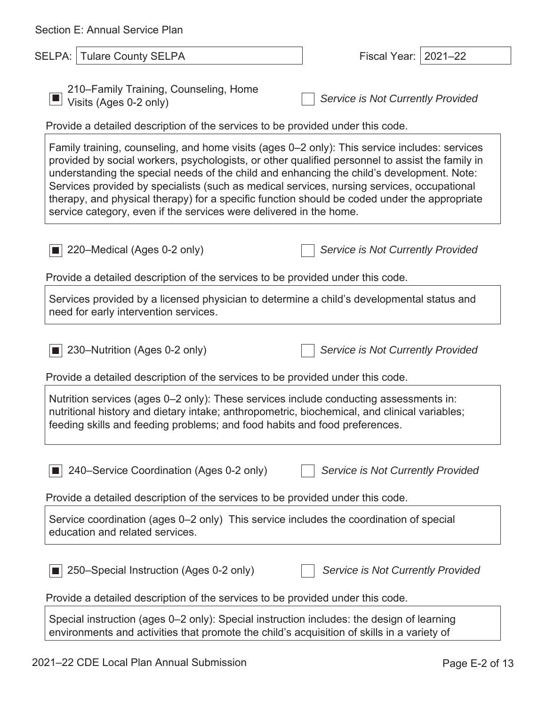| Section E: Annual Service Plan                                                                                                                                                                                                                                                                                                                                                                                                                                                                                                                                    |                                   |
|-------------------------------------------------------------------------------------------------------------------------------------------------------------------------------------------------------------------------------------------------------------------------------------------------------------------------------------------------------------------------------------------------------------------------------------------------------------------------------------------------------------------------------------------------------------------|-----------------------------------|
| SELPA:   Tulare County SELPA                                                                                                                                                                                                                                                                                                                                                                                                                                                                                                                                      | Fiscal Year:   2021-22            |
| 210–Family Training, Counseling, Home<br>Visits (Ages 0-2 only)<br>Provide a detailed description of the services to be provided under this code.                                                                                                                                                                                                                                                                                                                                                                                                                 | Service is Not Currently Provided |
| Family training, counseling, and home visits (ages 0–2 only): This service includes: services<br>provided by social workers, psychologists, or other qualified personnel to assist the family in<br>understanding the special needs of the child and enhancing the child's development. Note:<br>Services provided by specialists (such as medical services, nursing services, occupational<br>therapy, and physical therapy) for a specific function should be coded under the appropriate<br>service category, even if the services were delivered in the home. |                                   |
| 220–Medical (Ages 0-2 only)                                                                                                                                                                                                                                                                                                                                                                                                                                                                                                                                       | Service is Not Currently Provided |
| Provide a detailed description of the services to be provided under this code.                                                                                                                                                                                                                                                                                                                                                                                                                                                                                    |                                   |
| Services provided by a licensed physician to determine a child's developmental status and<br>need for early intervention services.                                                                                                                                                                                                                                                                                                                                                                                                                                |                                   |
| 230–Nutrition (Ages 0-2 only)                                                                                                                                                                                                                                                                                                                                                                                                                                                                                                                                     | Service is Not Currently Provided |
| Provide a detailed description of the services to be provided under this code.                                                                                                                                                                                                                                                                                                                                                                                                                                                                                    |                                   |
| Nutrition services (ages 0–2 only): These services include conducting assessments in:<br>nutritional history and dietary intake; anthropometric, biochemical, and clinical variables;<br>feeding skills and feeding problems; and food habits and food preferences.                                                                                                                                                                                                                                                                                               |                                   |
| 240–Service Coordination (Ages 0-2 only)                                                                                                                                                                                                                                                                                                                                                                                                                                                                                                                          | Service is Not Currently Provided |
| Provide a detailed description of the services to be provided under this code.                                                                                                                                                                                                                                                                                                                                                                                                                                                                                    |                                   |
| Service coordination (ages 0–2 only) This service includes the coordination of special<br>education and related services.                                                                                                                                                                                                                                                                                                                                                                                                                                         |                                   |
| 250–Special Instruction (Ages 0-2 only)                                                                                                                                                                                                                                                                                                                                                                                                                                                                                                                           | Service is Not Currently Provided |
| Provide a detailed description of the services to be provided under this code.                                                                                                                                                                                                                                                                                                                                                                                                                                                                                    |                                   |
| Special instruction (ages 0–2 only): Special instruction includes: the design of learning<br>environments and activities that promote the child's acquisition of skills in a variety of                                                                                                                                                                                                                                                                                                                                                                           |                                   |

 $\overline{\phantom{a}}$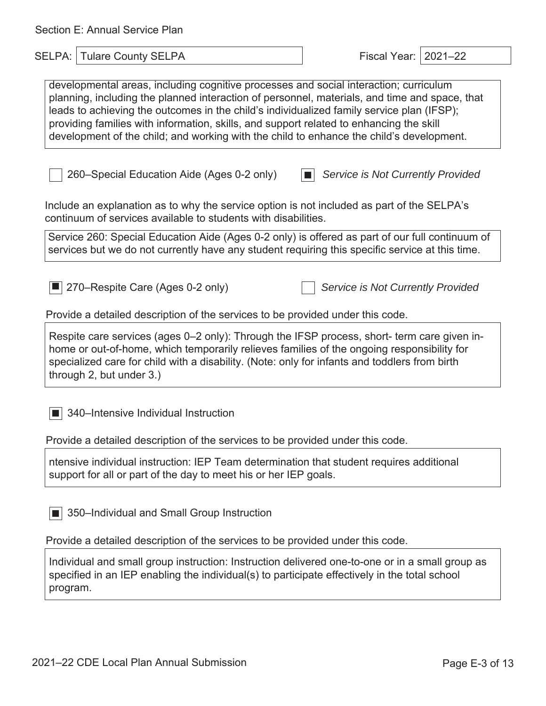| Section E: Annual Service Plan                                                                                                                                                                                                                                                                                                                                                                                                                                             |                                   |  |
|----------------------------------------------------------------------------------------------------------------------------------------------------------------------------------------------------------------------------------------------------------------------------------------------------------------------------------------------------------------------------------------------------------------------------------------------------------------------------|-----------------------------------|--|
| SELPA: Tulare County SELPA                                                                                                                                                                                                                                                                                                                                                                                                                                                 | Fiscal Year:   2021-22            |  |
| developmental areas, including cognitive processes and social interaction; curriculum<br>planning, including the planned interaction of personnel, materials, and time and space, that<br>leads to achieving the outcomes in the child's individualized family service plan (IFSP);<br>providing families with information, skills, and support related to enhancing the skill<br>development of the child; and working with the child to enhance the child's development. |                                   |  |
| 260–Special Education Aide (Ages 0-2 only)                                                                                                                                                                                                                                                                                                                                                                                                                                 | Service is Not Currently Provided |  |
| Include an explanation as to why the service option is not included as part of the SELPA's<br>continuum of services available to students with disabilities.                                                                                                                                                                                                                                                                                                               |                                   |  |
| Service 260: Special Education Aide (Ages 0-2 only) is offered as part of our full continuum of<br>services but we do not currently have any student requiring this specific service at this time.                                                                                                                                                                                                                                                                         |                                   |  |
| 270–Respite Care (Ages 0-2 only)<br>Provide a detailed description of the services to be provided under this code.                                                                                                                                                                                                                                                                                                                                                         | Service is Not Currently Provided |  |
| Respite care services (ages 0-2 only): Through the IFSP process, short- term care given in-<br>home or out-of-home, which temporarily relieves families of the ongoing responsibility for<br>specialized care for child with a disability. (Note: only for infants and toddlers from birth<br>through 2, but under 3.)                                                                                                                                                     |                                   |  |
| 340-Intensive Individual Instruction                                                                                                                                                                                                                                                                                                                                                                                                                                       |                                   |  |
| Provide a detailed description of the services to be provided under this code.                                                                                                                                                                                                                                                                                                                                                                                             |                                   |  |
| ntensive individual instruction: IEP Team determination that student requires additional<br>support for all or part of the day to meet his or her IEP goals.                                                                                                                                                                                                                                                                                                               |                                   |  |
| 350-Individual and Small Group Instruction                                                                                                                                                                                                                                                                                                                                                                                                                                 |                                   |  |
| Provide a detailed description of the services to be provided under this code.                                                                                                                                                                                                                                                                                                                                                                                             |                                   |  |
| Individual and small group instruction: Instruction delivered one-to-one or in a small group as<br>specified in an IEP enabling the individual(s) to participate effectively in the total school                                                                                                                                                                                                                                                                           |                                   |  |

program.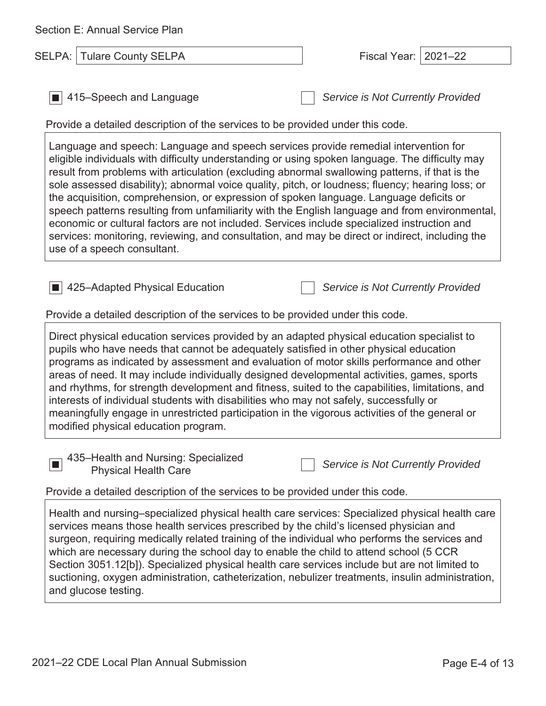| Section E: Annual Service Plan                                                                                                                                                                                                                                                                                                                                                                                                                                                                                                                                                                                                                                                                                                                                                                                            |                                   |  |
|---------------------------------------------------------------------------------------------------------------------------------------------------------------------------------------------------------------------------------------------------------------------------------------------------------------------------------------------------------------------------------------------------------------------------------------------------------------------------------------------------------------------------------------------------------------------------------------------------------------------------------------------------------------------------------------------------------------------------------------------------------------------------------------------------------------------------|-----------------------------------|--|
| <b>Tulare County SELPA</b><br>SELPA:                                                                                                                                                                                                                                                                                                                                                                                                                                                                                                                                                                                                                                                                                                                                                                                      | $2021 - 22$<br>Fiscal Year:       |  |
|                                                                                                                                                                                                                                                                                                                                                                                                                                                                                                                                                                                                                                                                                                                                                                                                                           |                                   |  |
| 415–Speech and Language                                                                                                                                                                                                                                                                                                                                                                                                                                                                                                                                                                                                                                                                                                                                                                                                   | Service is Not Currently Provided |  |
| Provide a detailed description of the services to be provided under this code.                                                                                                                                                                                                                                                                                                                                                                                                                                                                                                                                                                                                                                                                                                                                            |                                   |  |
| Language and speech: Language and speech services provide remedial intervention for<br>eligible individuals with difficulty understanding or using spoken language. The difficulty may<br>result from problems with articulation (excluding abnormal swallowing patterns, if that is the<br>sole assessed disability); abnormal voice quality, pitch, or loudness; fluency; hearing loss; or<br>the acquisition, comprehension, or expression of spoken language. Language deficits or<br>speech patterns resulting from unfamiliarity with the English language and from environmental,<br>economic or cultural factors are not included. Services include specialized instruction and<br>services: monitoring, reviewing, and consultation, and may be direct or indirect, including the<br>use of a speech consultant. |                                   |  |
| 425-Adapted Physical Education<br>Provide a detailed description of the services to be provided under this code.                                                                                                                                                                                                                                                                                                                                                                                                                                                                                                                                                                                                                                                                                                          | Service is Not Currently Provided |  |
| Direct physical education services provided by an adapted physical education specialist to<br>pupils who have needs that cannot be adequately satisfied in other physical education<br>programs as indicated by assessment and evaluation of motor skills performance and other<br>areas of need. It may include individually designed developmental activities, games, sports<br>and rhythms, for strength development and fitness, suited to the capabilities, limitations, and<br>interests of individual students with disabilities who may not safely, successfully or<br>meaningfully engage in unrestricted participation in the vigorous activities of the general or<br>modified physical education program.                                                                                                     |                                   |  |
| 435-Health and Nursing: Specialized<br><b>Physical Health Care</b>                                                                                                                                                                                                                                                                                                                                                                                                                                                                                                                                                                                                                                                                                                                                                        | Service is Not Currently Provided |  |
| Provide a detailed description of the services to be provided under this code.                                                                                                                                                                                                                                                                                                                                                                                                                                                                                                                                                                                                                                                                                                                                            |                                   |  |
| Health and nursing-specialized physical health care services: Specialized physical health care<br>services means those health services prescribed by the child's licensed physician and<br>surgeon, requiring medically related training of the individual who performs the services and<br>which are necessary during the school day to enable the child to attend school (5 CCR<br>Section 3051.12[b]). Specialized physical health care services include but are not limited to<br>suctioning, oxygen administration, catheterization, nebulizer treatments, insulin administration,<br>and glucose testing.                                                                                                                                                                                                           |                                   |  |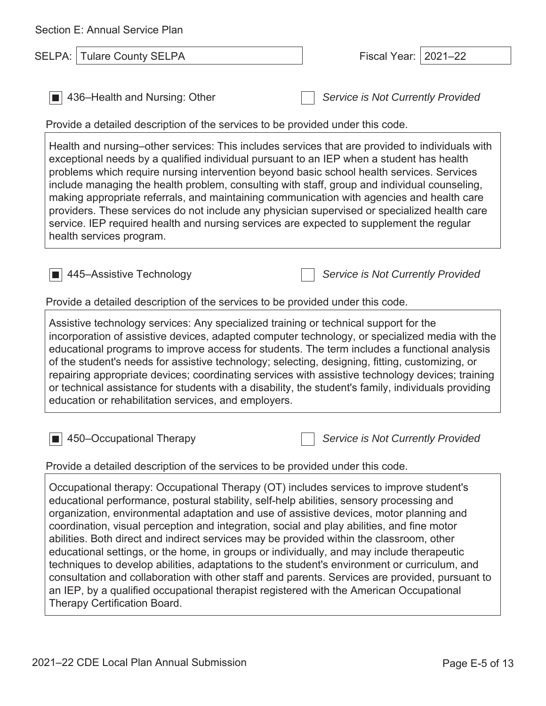| Section E: Annual Service Plan                                                                                                                                                                                                                                                                                                                                                                                                                                                                                                                                                                                                                                                                                                                                                                                                                                                                            |                                   |  |
|-----------------------------------------------------------------------------------------------------------------------------------------------------------------------------------------------------------------------------------------------------------------------------------------------------------------------------------------------------------------------------------------------------------------------------------------------------------------------------------------------------------------------------------------------------------------------------------------------------------------------------------------------------------------------------------------------------------------------------------------------------------------------------------------------------------------------------------------------------------------------------------------------------------|-----------------------------------|--|
| <b>Tulare County SELPA</b><br>SELPA:                                                                                                                                                                                                                                                                                                                                                                                                                                                                                                                                                                                                                                                                                                                                                                                                                                                                      | $2021 - 22$<br>Fiscal Year:       |  |
| 436–Health and Nursing: Other<br>Provide a detailed description of the services to be provided under this code.                                                                                                                                                                                                                                                                                                                                                                                                                                                                                                                                                                                                                                                                                                                                                                                           | Service is Not Currently Provided |  |
| Health and nursing–other services: This includes services that are provided to individuals with<br>exceptional needs by a qualified individual pursuant to an IEP when a student has health<br>problems which require nursing intervention beyond basic school health services. Services<br>include managing the health problem, consulting with staff, group and individual counseling,<br>making appropriate referrals, and maintaining communication with agencies and health care<br>providers. These services do not include any physician supervised or specialized health care<br>service. IEP required health and nursing services are expected to supplement the regular<br>health services program.                                                                                                                                                                                             |                                   |  |
| 445–Assistive Technology                                                                                                                                                                                                                                                                                                                                                                                                                                                                                                                                                                                                                                                                                                                                                                                                                                                                                  | Service is Not Currently Provided |  |
| Provide a detailed description of the services to be provided under this code.                                                                                                                                                                                                                                                                                                                                                                                                                                                                                                                                                                                                                                                                                                                                                                                                                            |                                   |  |
| Assistive technology services: Any specialized training or technical support for the<br>incorporation of assistive devices, adapted computer technology, or specialized media with the<br>educational programs to improve access for students. The term includes a functional analysis<br>of the student's needs for assistive technology; selecting, designing, fitting, customizing, or<br>repairing appropriate devices; coordinating services with assistive technology devices; training<br>or technical assistance for students with a disability, the student's family, individuals providing<br>education or rehabilitation services, and employers.                                                                                                                                                                                                                                              |                                   |  |
| 450–Occupational Therapy                                                                                                                                                                                                                                                                                                                                                                                                                                                                                                                                                                                                                                                                                                                                                                                                                                                                                  | Service is Not Currently Provided |  |
| Provide a detailed description of the services to be provided under this code.                                                                                                                                                                                                                                                                                                                                                                                                                                                                                                                                                                                                                                                                                                                                                                                                                            |                                   |  |
| Occupational therapy: Occupational Therapy (OT) includes services to improve student's<br>educational performance, postural stability, self-help abilities, sensory processing and<br>organization, environmental adaptation and use of assistive devices, motor planning and<br>coordination, visual perception and integration, social and play abilities, and fine motor<br>abilities. Both direct and indirect services may be provided within the classroom, other<br>educational settings, or the home, in groups or individually, and may include therapeutic<br>techniques to develop abilities, adaptations to the student's environment or curriculum, and<br>consultation and collaboration with other staff and parents. Services are provided, pursuant to<br>an IEP, by a qualified occupational therapist registered with the American Occupational<br><b>Therapy Certification Board.</b> |                                   |  |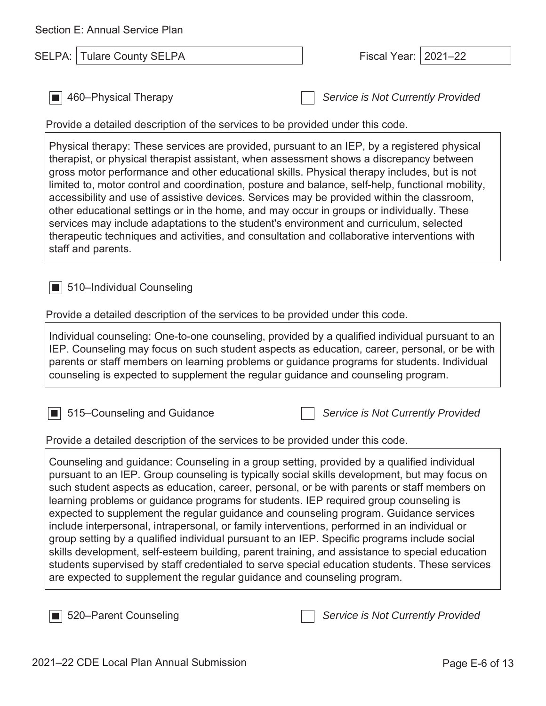| Section E: Annual Service Plan                                                                                                                                                                                                                                                                                                                                                                                                                                                                                                                                                                                                                                                                                                                                                                                                                                                                                                                             |                                   |  |
|------------------------------------------------------------------------------------------------------------------------------------------------------------------------------------------------------------------------------------------------------------------------------------------------------------------------------------------------------------------------------------------------------------------------------------------------------------------------------------------------------------------------------------------------------------------------------------------------------------------------------------------------------------------------------------------------------------------------------------------------------------------------------------------------------------------------------------------------------------------------------------------------------------------------------------------------------------|-----------------------------------|--|
| <b>Tulare County SELPA</b><br>SELPA:                                                                                                                                                                                                                                                                                                                                                                                                                                                                                                                                                                                                                                                                                                                                                                                                                                                                                                                       | Fiscal Year:   2021-22            |  |
| 460-Physical Therapy<br>Provide a detailed description of the services to be provided under this code.                                                                                                                                                                                                                                                                                                                                                                                                                                                                                                                                                                                                                                                                                                                                                                                                                                                     | Service is Not Currently Provided |  |
| Physical therapy: These services are provided, pursuant to an IEP, by a registered physical<br>therapist, or physical therapist assistant, when assessment shows a discrepancy between<br>gross motor performance and other educational skills. Physical therapy includes, but is not<br>limited to, motor control and coordination, posture and balance, self-help, functional mobility,<br>accessibility and use of assistive devices. Services may be provided within the classroom,<br>other educational settings or in the home, and may occur in groups or individually. These<br>services may include adaptations to the student's environment and curriculum, selected<br>therapeutic techniques and activities, and consultation and collaborative interventions with<br>staff and parents.                                                                                                                                                       |                                   |  |
| 510-Individual Counseling<br>Provide a detailed description of the services to be provided under this code.<br>Individual counseling: One-to-one counseling, provided by a qualified individual pursuant to an<br>IEP. Counseling may focus on such student aspects as education, career, personal, or be with<br>parents or staff members on learning problems or guidance programs for students. Individual<br>counseling is expected to supplement the regular guidance and counseling program.                                                                                                                                                                                                                                                                                                                                                                                                                                                         |                                   |  |
| 515–Counseling and Guidance<br>Provide a detailed description of the services to be provided under this code.                                                                                                                                                                                                                                                                                                                                                                                                                                                                                                                                                                                                                                                                                                                                                                                                                                              | Service is Not Currently Provided |  |
| Counseling and guidance: Counseling in a group setting, provided by a qualified individual<br>pursuant to an IEP. Group counseling is typically social skills development, but may focus on<br>such student aspects as education, career, personal, or be with parents or staff members on<br>learning problems or guidance programs for students. IEP required group counseling is<br>expected to supplement the regular guidance and counseling program. Guidance services<br>include interpersonal, intrapersonal, or family interventions, performed in an individual or<br>group setting by a qualified individual pursuant to an IEP. Specific programs include social<br>skills development, self-esteem building, parent training, and assistance to special education<br>students supervised by staff credentialed to serve special education students. These services<br>are expected to supplement the regular guidance and counseling program. |                                   |  |
| 520–Parent Counseling                                                                                                                                                                                                                                                                                                                                                                                                                                                                                                                                                                                                                                                                                                                                                                                                                                                                                                                                      | Service is Not Currently Provided |  |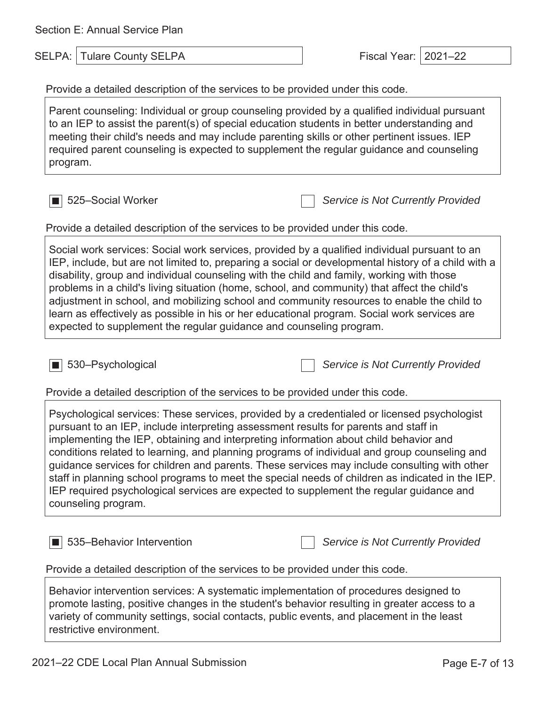Section E: Annual Service Plan

SELPA: Tulare County SELPA Fiscal Year: 2021–22

Provide a detailed description of the services to be provided under this code.

Parent counseling: Individual or group counseling provided by a qualified individual pursuant to an IEP to assist the parent(s) of special education students in better understanding and meeting their child's needs and may include parenting skills or other pertinent issues. IEP required parent counseling is expected to supplement the regular guidance and counseling program.

■ 525–Social Worker *Service is Not Currently Provided*

Provide a detailed description of the services to be provided under this code.

Social work services: Social work services, provided by a qualified individual pursuant to an IEP, include, but are not limited to, preparing a social or developmental history of a child with a disability, group and individual counseling with the child and family, working with those problems in a child's living situation (home, school, and community) that affect the child's adjustment in school, and mobilizing school and community resources to enable the child to learn as effectively as possible in his or her educational program. Social work services are expected to supplement the regular guidance and counseling program.

■ 530–Psychological *Service is Not Currently Provided*

Provide a detailed description of the services to be provided under this code.

Psychological services: These services, provided by a credentialed or licensed psychologist pursuant to an IEP, include interpreting assessment results for parents and staff in implementing the IEP, obtaining and interpreting information about child behavior and conditions related to learning, and planning programs of individual and group counseling and guidance services for children and parents. These services may include consulting with other staff in planning school programs to meet the special needs of children as indicated in the IEP. IEP required psychological services are expected to supplement the regular guidance and counseling program.

■ 535–Behavior Intervention *Service is Not Currently Provided* Provide a detailed description of the services to be provided under this code.

Behavior intervention services: A systematic implementation of procedures designed to promote lasting, positive changes in the student's behavior resulting in greater access to a variety of community settings, social contacts, public events, and placement in the least restrictive environment.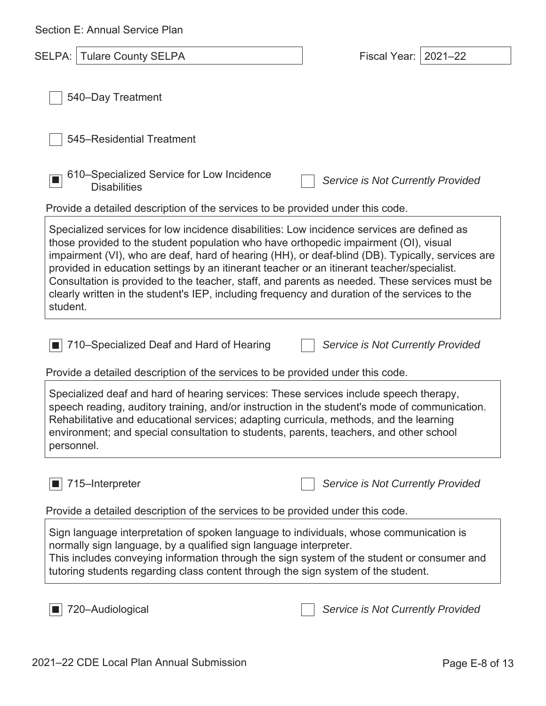| Section E: Annual Service Plan                                                                                                                                                                                                                                                                                                                                                                                                                                                                                                                                                                     |                                    |  |
|----------------------------------------------------------------------------------------------------------------------------------------------------------------------------------------------------------------------------------------------------------------------------------------------------------------------------------------------------------------------------------------------------------------------------------------------------------------------------------------------------------------------------------------------------------------------------------------------------|------------------------------------|--|
| <b>SELPA:   Tulare County SELPA</b>                                                                                                                                                                                                                                                                                                                                                                                                                                                                                                                                                                | <b>Fiscal Year:</b><br>$2021 - 22$ |  |
| 540-Day Treatment                                                                                                                                                                                                                                                                                                                                                                                                                                                                                                                                                                                  |                                    |  |
| 545–Residential Treatment                                                                                                                                                                                                                                                                                                                                                                                                                                                                                                                                                                          |                                    |  |
| 610–Specialized Service for Low Incidence<br><b>Disabilities</b>                                                                                                                                                                                                                                                                                                                                                                                                                                                                                                                                   | Service is Not Currently Provided  |  |
| Provide a detailed description of the services to be provided under this code.                                                                                                                                                                                                                                                                                                                                                                                                                                                                                                                     |                                    |  |
| Specialized services for low incidence disabilities: Low incidence services are defined as<br>those provided to the student population who have orthopedic impairment (OI), visual<br>impairment (VI), who are deaf, hard of hearing (HH), or deaf-blind (DB). Typically, services are<br>provided in education settings by an itinerant teacher or an itinerant teacher/specialist.<br>Consultation is provided to the teacher, staff, and parents as needed. These services must be<br>clearly written in the student's IEP, including frequency and duration of the services to the<br>student. |                                    |  |
| 710–Specialized Deaf and Hard of Hearing<br>Provide a detailed description of the services to be provided under this code.                                                                                                                                                                                                                                                                                                                                                                                                                                                                         | Service is Not Currently Provided  |  |
| Specialized deaf and hard of hearing services: These services include speech therapy,<br>speech reading, auditory training, and/or instruction in the student's mode of communication.<br>Rehabilitative and educational services; adapting curricula, methods, and the learning<br>environment; and special consultation to students, parents, teachers, and other school<br>personnel.                                                                                                                                                                                                           |                                    |  |
| 715-Interpreter                                                                                                                                                                                                                                                                                                                                                                                                                                                                                                                                                                                    | Service is Not Currently Provided  |  |
| Provide a detailed description of the services to be provided under this code.                                                                                                                                                                                                                                                                                                                                                                                                                                                                                                                     |                                    |  |
| Sign language interpretation of spoken language to individuals, whose communication is<br>normally sign language, by a qualified sign language interpreter.<br>This includes conveying information through the sign system of the student or consumer and<br>tutoring students regarding class content through the sign system of the student.                                                                                                                                                                                                                                                     |                                    |  |
| 720-Audiological                                                                                                                                                                                                                                                                                                                                                                                                                                                                                                                                                                                   | Service is Not Currently Provided  |  |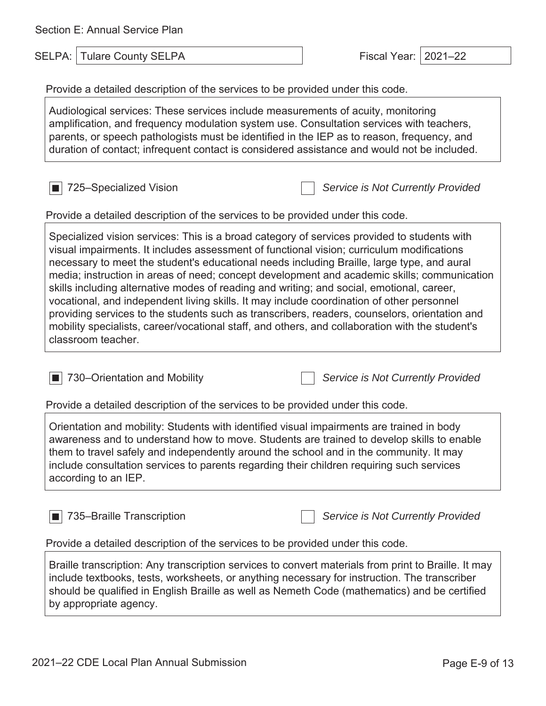| Section E: Annual Service Plan                                                                                                                                                                                                                                                                                                                                                                                                                                                                                                                                                                                                                                                                                                                                                                                                                                                              |                                   |  |
|---------------------------------------------------------------------------------------------------------------------------------------------------------------------------------------------------------------------------------------------------------------------------------------------------------------------------------------------------------------------------------------------------------------------------------------------------------------------------------------------------------------------------------------------------------------------------------------------------------------------------------------------------------------------------------------------------------------------------------------------------------------------------------------------------------------------------------------------------------------------------------------------|-----------------------------------|--|
| <b>Tulare County SELPA</b><br>SELPA: I                                                                                                                                                                                                                                                                                                                                                                                                                                                                                                                                                                                                                                                                                                                                                                                                                                                      | $2021 - 22$<br>Fiscal Year:       |  |
| Provide a detailed description of the services to be provided under this code.                                                                                                                                                                                                                                                                                                                                                                                                                                                                                                                                                                                                                                                                                                                                                                                                              |                                   |  |
| Audiological services: These services include measurements of acuity, monitoring<br>amplification, and frequency modulation system use. Consultation services with teachers,<br>parents, or speech pathologists must be identified in the IEP as to reason, frequency, and<br>duration of contact; infrequent contact is considered assistance and would not be included.                                                                                                                                                                                                                                                                                                                                                                                                                                                                                                                   |                                   |  |
| 725–Specialized Vision                                                                                                                                                                                                                                                                                                                                                                                                                                                                                                                                                                                                                                                                                                                                                                                                                                                                      | Service is Not Currently Provided |  |
| Provide a detailed description of the services to be provided under this code.<br>Specialized vision services: This is a broad category of services provided to students with<br>visual impairments. It includes assessment of functional vision; curriculum modifications<br>necessary to meet the student's educational needs including Braille, large type, and aural<br>media; instruction in areas of need; concept development and academic skills; communication<br>skills including alternative modes of reading and writing; and social, emotional, career,<br>vocational, and independent living skills. It may include coordination of other personnel<br>providing services to the students such as transcribers, readers, counselors, orientation and<br>mobility specialists, career/vocational staff, and others, and collaboration with the student's<br>classroom teacher. |                                   |  |
| 730–Orientation and Mobility<br>Provide a detailed description of the services to be provided under this code.                                                                                                                                                                                                                                                                                                                                                                                                                                                                                                                                                                                                                                                                                                                                                                              | Service is Not Currently Provided |  |
| Orientation and mobility: Students with identified visual impairments are trained in body<br>awareness and to understand how to move. Students are trained to develop skills to enable<br>them to travel safely and independently around the school and in the community. It may<br>include consultation services to parents regarding their children requiring such services<br>according to an IEP.                                                                                                                                                                                                                                                                                                                                                                                                                                                                                       |                                   |  |
| 735-Braille Transcription<br>Provide a detailed description of the services to be provided under this code.                                                                                                                                                                                                                                                                                                                                                                                                                                                                                                                                                                                                                                                                                                                                                                                 | Service is Not Currently Provided |  |
| Braille transcription: Any transcription services to convert materials from print to Braille. It may<br>include textbooks, tests, worksheets, or anything necessary for instruction. The transcriber<br>should be qualified in English Braille as well as Nemeth Code (mathematics) and be certified<br>by appropriate agency.                                                                                                                                                                                                                                                                                                                                                                                                                                                                                                                                                              |                                   |  |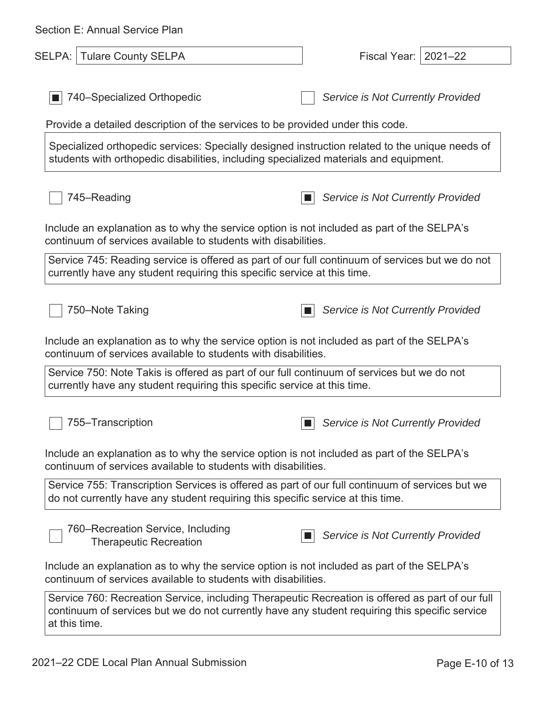| Section E: Annual Service Plan                                                                                                                                                                                      |                                   |
|---------------------------------------------------------------------------------------------------------------------------------------------------------------------------------------------------------------------|-----------------------------------|
| SELPA:   Tulare County SELPA                                                                                                                                                                                        | Fiscal Year: 2021-22              |
|                                                                                                                                                                                                                     |                                   |
| 740–Specialized Orthopedic                                                                                                                                                                                          | Service is Not Currently Provided |
| Provide a detailed description of the services to be provided under this code.                                                                                                                                      |                                   |
| Specialized orthopedic services: Specially designed instruction related to the unique needs of<br>students with orthopedic disabilities, including specialized materials and equipment.                             |                                   |
| 745–Reading                                                                                                                                                                                                         | Service is Not Currently Provided |
| Include an explanation as to why the service option is not included as part of the SELPA's<br>continuum of services available to students with disabilities.                                                        |                                   |
| Service 745: Reading service is offered as part of our full continuum of services but we do not<br>currently have any student requiring this specific service at this time.                                         |                                   |
| 750-Note Taking                                                                                                                                                                                                     | Service is Not Currently Provided |
| Include an explanation as to why the service option is not included as part of the SELPA's<br>continuum of services available to students with disabilities.                                                        |                                   |
| Service 750: Note Takis is offered as part of our full continuum of services but we do not<br>currently have any student requiring this specific service at this time.                                              |                                   |
| 755-Transcription                                                                                                                                                                                                   | Service is Not Currently Provided |
| Include an explanation as to why the service option is not included as part of the SELPA's<br>continuum of services available to students with disabilities.                                                        |                                   |
| Service 755: Transcription Services is offered as part of our full continuum of services but we<br>do not currently have any student requiring this specific service at this time.                                  |                                   |
| 760–Recreation Service, Including<br><b>Therapeutic Recreation</b>                                                                                                                                                  | Service is Not Currently Provided |
| Include an explanation as to why the service option is not included as part of the SELPA's<br>continuum of services available to students with disabilities.                                                        |                                   |
| Service 760: Recreation Service, including Therapeutic Recreation is offered as part of our full<br>continuum of services but we do not currently have any student requiring this specific service<br>at this time. |                                   |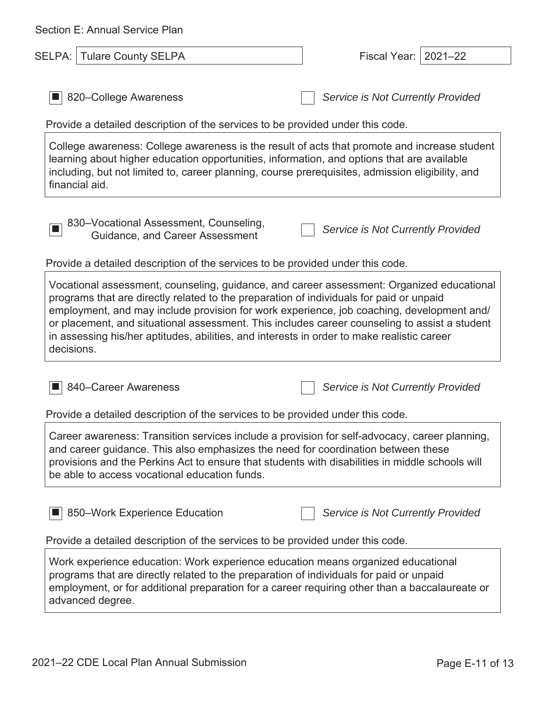| Section E: Annual Service Plan                                                                                                                                                                                                                                                                                                                                                                                                                                                                 |                                   |
|------------------------------------------------------------------------------------------------------------------------------------------------------------------------------------------------------------------------------------------------------------------------------------------------------------------------------------------------------------------------------------------------------------------------------------------------------------------------------------------------|-----------------------------------|
| <b>Tulare County SELPA</b><br>SELPA:                                                                                                                                                                                                                                                                                                                                                                                                                                                           | $2021 - 22$<br>Fiscal Year:       |
| 820–College Awareness<br>Provide a detailed description of the services to be provided under this code.                                                                                                                                                                                                                                                                                                                                                                                        | Service is Not Currently Provided |
| College awareness: College awareness is the result of acts that promote and increase student<br>learning about higher education opportunities, information, and options that are available<br>including, but not limited to, career planning, course prerequisites, admission eligibility, and<br>financial aid.                                                                                                                                                                               |                                   |
| 830-Vocational Assessment, Counseling,<br><b>Guidance, and Career Assessment</b>                                                                                                                                                                                                                                                                                                                                                                                                               | Service is Not Currently Provided |
| Provide a detailed description of the services to be provided under this code.                                                                                                                                                                                                                                                                                                                                                                                                                 |                                   |
| Vocational assessment, counseling, guidance, and career assessment: Organized educational<br>programs that are directly related to the preparation of individuals for paid or unpaid<br>employment, and may include provision for work experience, job coaching, development and/<br>or placement, and situational assessment. This includes career counseling to assist a student<br>in assessing his/her aptitudes, abilities, and interests in order to make realistic career<br>decisions. |                                   |
| 840–Career Awareness                                                                                                                                                                                                                                                                                                                                                                                                                                                                           | Service is Not Currently Provided |
| Provide a detailed description of the services to be provided under this code.                                                                                                                                                                                                                                                                                                                                                                                                                 |                                   |
| Career awareness: Transition services include a provision for self-advocacy, career planning,<br>and career guidance. This also emphasizes the need for coordination between these<br>provisions and the Perkins Act to ensure that students with disabilities in middle schools will<br>be able to access vocational education funds.                                                                                                                                                         |                                   |
| 850–Work Experience Education                                                                                                                                                                                                                                                                                                                                                                                                                                                                  | Service is Not Currently Provided |
| Provide a detailed description of the services to be provided under this code.                                                                                                                                                                                                                                                                                                                                                                                                                 |                                   |
| Work experience education: Work experience education means organized educational<br>programs that are directly related to the preparation of individuals for paid or unpaid<br>employment, or for additional preparation for a career requiring other than a baccalaureate or                                                                                                                                                                                                                  |                                   |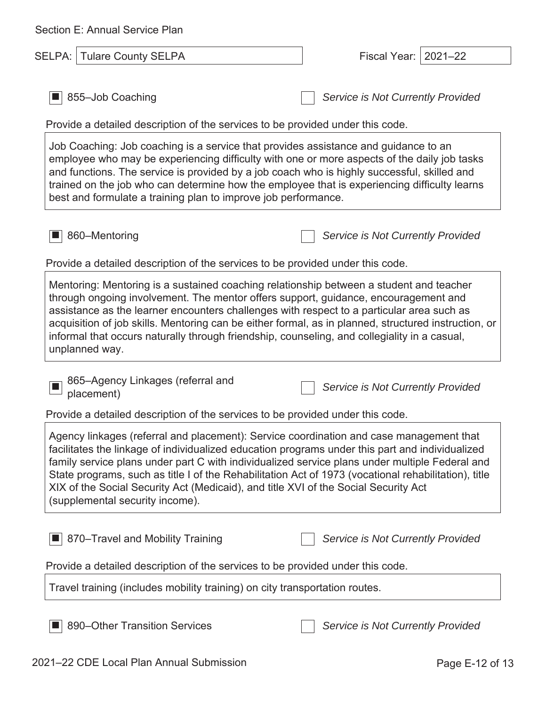| Section E: Annual Service Plan                                                                                                                                                                                                                                                                                                                                                                                                                                                                                                 |                                          |  |
|--------------------------------------------------------------------------------------------------------------------------------------------------------------------------------------------------------------------------------------------------------------------------------------------------------------------------------------------------------------------------------------------------------------------------------------------------------------------------------------------------------------------------------|------------------------------------------|--|
| <b>SELPA:   Tulare County SELPA</b>                                                                                                                                                                                                                                                                                                                                                                                                                                                                                            | $2021 - 22$<br>Fiscal Year:              |  |
| 855-Job Coaching                                                                                                                                                                                                                                                                                                                                                                                                                                                                                                               | Service is Not Currently Provided        |  |
| Provide a detailed description of the services to be provided under this code.                                                                                                                                                                                                                                                                                                                                                                                                                                                 |                                          |  |
| Job Coaching: Job coaching is a service that provides assistance and guidance to an<br>employee who may be experiencing difficulty with one or more aspects of the daily job tasks<br>and functions. The service is provided by a job coach who is highly successful, skilled and<br>trained on the job who can determine how the employee that is experiencing difficulty learns<br>best and formulate a training plan to improve job performance.                                                                            |                                          |  |
| 860-Mentoring                                                                                                                                                                                                                                                                                                                                                                                                                                                                                                                  | Service is Not Currently Provided        |  |
| Provide a detailed description of the services to be provided under this code.                                                                                                                                                                                                                                                                                                                                                                                                                                                 |                                          |  |
| Mentoring: Mentoring is a sustained coaching relationship between a student and teacher<br>through ongoing involvement. The mentor offers support, guidance, encouragement and<br>assistance as the learner encounters challenges with respect to a particular area such as<br>acquisition of job skills. Mentoring can be either formal, as in planned, structured instruction, or<br>informal that occurs naturally through friendship, counseling, and collegiality in a casual,<br>unplanned way.                          |                                          |  |
| 865-Agency Linkages (referral and<br>placement)                                                                                                                                                                                                                                                                                                                                                                                                                                                                                | Service is Not Currently Provided        |  |
| Provide a detailed description of the services to be provided under this code.                                                                                                                                                                                                                                                                                                                                                                                                                                                 |                                          |  |
| Agency linkages (referral and placement): Service coordination and case management that<br>facilitates the linkage of individualized education programs under this part and individualized<br>family service plans under part C with individualized service plans under multiple Federal and<br>State programs, such as title I of the Rehabilitation Act of 1973 (vocational rehabilitation), title<br>XIX of the Social Security Act (Medicaid), and title XVI of the Social Security Act<br>(supplemental security income). |                                          |  |
| 870–Travel and Mobility Training                                                                                                                                                                                                                                                                                                                                                                                                                                                                                               | <b>Service is Not Currently Provided</b> |  |
| Provide a detailed description of the services to be provided under this code.                                                                                                                                                                                                                                                                                                                                                                                                                                                 |                                          |  |
| Travel training (includes mobility training) on city transportation routes.                                                                                                                                                                                                                                                                                                                                                                                                                                                    |                                          |  |
| 890–Other Transition Services                                                                                                                                                                                                                                                                                                                                                                                                                                                                                                  | Service is Not Currently Provided        |  |